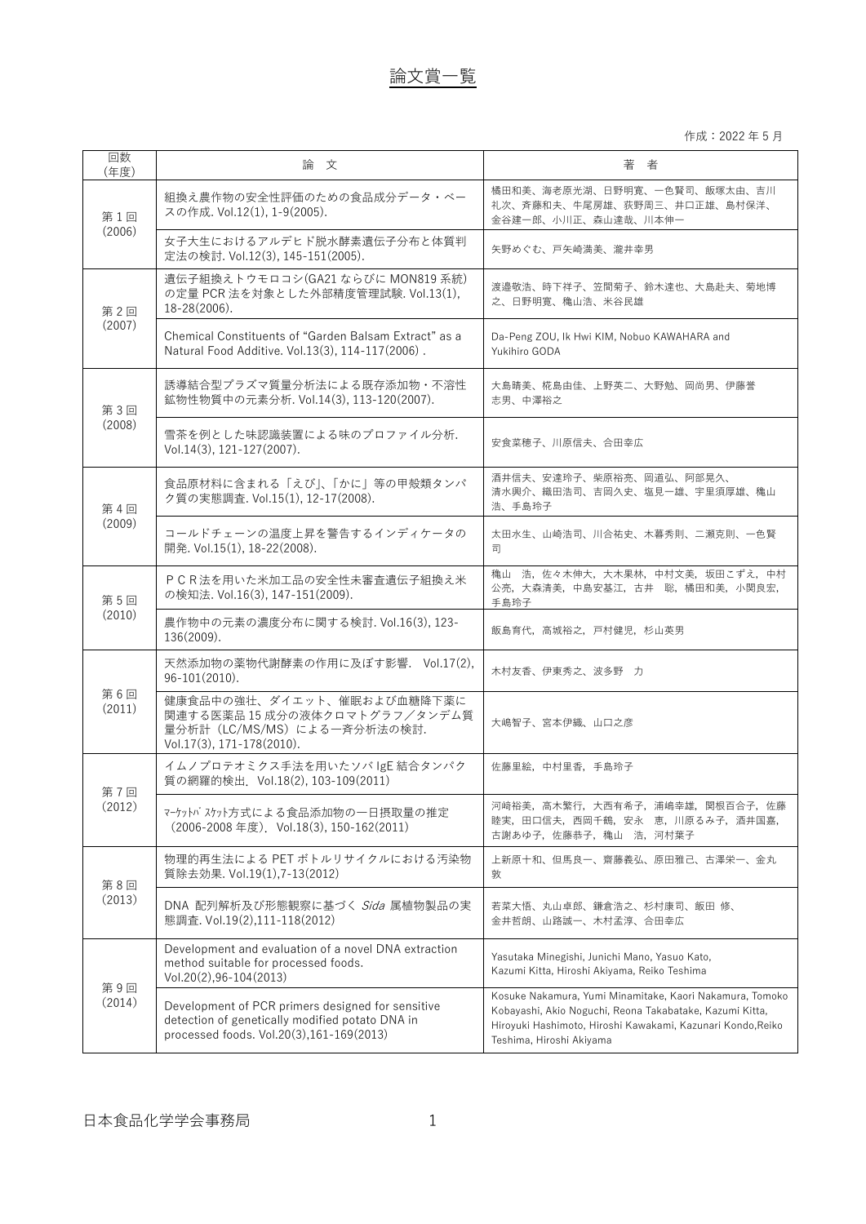作成:2022 年 5 月

| 回数<br>(年度)    | 論文                                                                                                                                               | 著 者                                                                                                                                                                                                             |
|---------------|--------------------------------------------------------------------------------------------------------------------------------------------------|-----------------------------------------------------------------------------------------------------------------------------------------------------------------------------------------------------------------|
| 第1回<br>(2006) | 組換え農作物の安全性評価のための食品成分データ・ベー<br>スの作成. Vol.12(1), 1-9(2005).                                                                                        | 橘田和美、海老原光湖、日野明寛、一色賢司、飯塚太由、吉川<br>礼次、斉藤和夫、牛尾房雄、荻野周三、井口正雄、島村保洋、<br>金谷建一郎、小川正、森山達哉、川本伸一                                                                                                                             |
|               | 女子大生におけるアルデヒド脱水酵素遺伝子分布と体質判<br>定法の検討. Vol.12(3), 145-151(2005).                                                                                   | 矢野めぐむ、戸矢崎満美、瀧井幸男                                                                                                                                                                                                |
| 第2回<br>(2007) | 遺伝子組換えトウモロコシ(GA21 ならびに MON819 系統)<br>の定量 PCR 法を対象とした外部精度管理試験. Vol.13(1).<br>18-28(2006).                                                         | 渡邉敬浩、時下祥子、笠間菊子、鈴木達也、大島赴夫、菊地博<br>之、日野明寛、穐山浩、米谷民雄                                                                                                                                                                 |
|               | Chemical Constituents of "Garden Balsam Extract" as a<br>Natural Food Additive. Vol.13(3), 114-117(2006).                                        | Da-Peng ZOU, Ik Hwi KIM, Nobuo KAWAHARA and<br>Yukihiro GODA                                                                                                                                                    |
| 第3回<br>(2008) | 誘導結合型プラズマ質量分析法による既存添加物・不溶性<br>鉱物性物質中の元素分析. Vol.14(3), 113-120(2007).                                                                             | 大島晴美、椛島由佳、上野英二、大野勉、岡尚男、伊藤誉<br>志男、中澤裕之                                                                                                                                                                           |
|               | 雪茶を例とした味認識装置による味のプロファイル分析.<br>Vol.14(3), 121-127(2007).                                                                                          | 安食菜穂子、川原信夫、合田幸広                                                                                                                                                                                                 |
| 第4回<br>(2009) | 食品原材料に含まれる「えび」、「かに」等の甲殻類タンパ<br>ク質の実態調査. Vol.15(1), 12-17(2008).                                                                                  | 酒井信夫、安達玲子、柴原裕亮、岡道弘、阿部晃久、<br>清水興介、織田浩司、吉岡久史、塩見一雄、宇里須厚雄、穐山<br>浩、手島玲子                                                                                                                                              |
|               | コールドチェーンの温度上昇を警告するインディケータの<br>開発. Vol.15(1), 18-22(2008).                                                                                        | 太田水生、山崎浩司、川合祐史、木暮秀則、二瀬克則、一色賢<br>司                                                                                                                                                                               |
| 第5回<br>(2010) | PCR法を用いた米加工品の安全性未審査遺伝子組換え米<br>の検知法. Vol.16(3), 147-151(2009).                                                                                    | 穐山 浩, 佐々木伸大, 大木果林, 中村文美, 坂田こずえ, 中村<br>公亮, 大森清美, 中島安基江, 古井 聡, 橘田和美, 小関良宏,<br>手島玲子                                                                                                                                |
|               | 農作物中の元素の濃度分布に関する検討.Vol.16(3), 123-<br>136(2009).                                                                                                 | 飯島育代,高城裕之,戸村健児,杉山英男                                                                                                                                                                                             |
| 第6回<br>(2011) | 天然添加物の薬物代謝酵素の作用に及ぼす影響. Vol.17(2),<br>$96-101(2010)$ .                                                                                            | 木村友香、伊東秀之、波多野 力                                                                                                                                                                                                 |
|               | 健康食品中の強壮、ダイエット、催眠および血糖降下薬に<br>関連する医薬品 15 成分の液体クロマトグラフ/タンデム質<br>量分析計 (LC/MS/MS) による一斉分析法の検討.<br>Vol.17(3), 171-178(2010).                         | 大嶋智子、宮本伊織、山口之彦                                                                                                                                                                                                  |
| 第7回<br>(2012) | イムノプロテオミクス手法を用いたソバ IgE 結合タンパク<br>質の網羅的検出. Vol.18(2), 103-109(2011)                                                                               | 佐藤里絵,中村里香,手島玲子                                                                                                                                                                                                  |
|               | マーケットバスケット方式による食品添加物の一日摂取量の推定<br>(2006-2008年度). Vol.18(3), 150-162(2011)                                                                         | 河崎裕美, 高木繁行, 大西有希子, 浦嶋幸雄, 関根百合子, 佐藤<br>睦実, 田口信夫, 西岡千鶴, 安永 恵, 川原るみ子, 酒井国嘉,<br>古謝あゆ子, 佐藤恭子, 穐山 浩, 河村葉子                                                                                                             |
| 第8回<br>(2013) | 物理的再生法による PET ボトルリサイクルにおける汚染物<br>質除去効果. Vol.19(1),7-13(2012)                                                                                     | 上新原十和、但馬良一、齋藤義弘、原田雅己、古澤栄一、金丸<br>敦                                                                                                                                                                               |
|               | DNA 配列解析及び形態観察に基づく Sida 属植物製品の実<br>態調査. Vol.19(2),111-118(2012)                                                                                  | 若菜大悟、丸山卓郎、鎌倉浩之、杉村康司、飯田 修、<br>金井哲朗、山路誠一、木村孟淳、合田幸広                                                                                                                                                                |
| 第9回<br>(2014) | Development and evaluation of a novel DNA extraction<br>method suitable for processed foods.<br>$Vol.20(2), 96 - 104(2013)$                      | Yasutaka Minegishi, Junichi Mano, Yasuo Kato,<br>Kazumi Kitta, Hiroshi Akiyama, Reiko Teshima                                                                                                                   |
|               | Development of PCR primers designed for sensitive<br>detection of genetically modified potato DNA in<br>processed foods. Vol.20(3),161-169(2013) | Kosuke Nakamura, Yumi Minamitake, Kaori Nakamura, Tomoko<br>Kobayashi, Akio Noguchi, Reona Takabatake, Kazumi Kitta,<br>Hiroyuki Hashimoto, Hiroshi Kawakami, Kazunari Kondo, Reiko<br>Teshima, Hiroshi Akiyama |